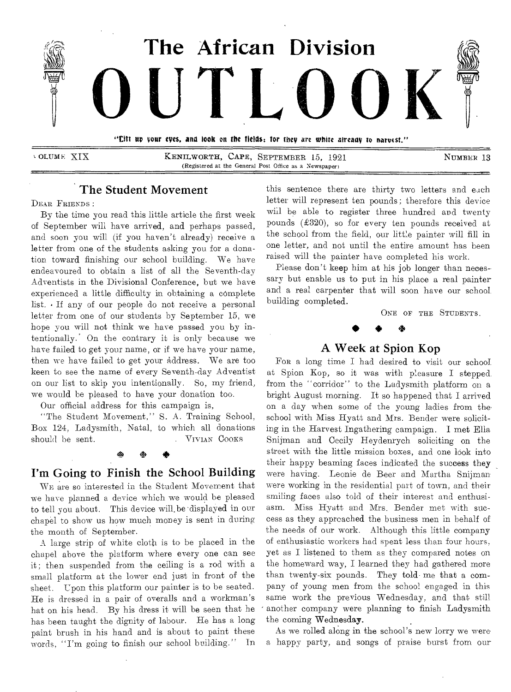

VOLUME XIX KENILWORTH, CAPE, SEPTEMBER 15, 1921 NUMBER 13 (Registered at the General Post Office as a Newspaper)

## The Student Movement

DEAR FRIENDS :

By the time you read this little article the first week of September will have arrived, and perhaps passed, and soon you will (if you haven't already) receive a letter from one of the students asking you for a donation toward finishing our school building. We have endeavoured to obtain a list of all the Seventh-day Adventists in the Divisional Conference, but we have experienced a little difficulty in obtaining a complete list. • If any of our people do not receive a personal letter from one of our students by September 15, we hope you will not think we have passed you by intentionally.' On the contrary it is only because we have failed to get your name, or if we have your name, then we have failed to get your address. We are too keen to see the name of every Seventh-day Adventist on our list to skip you intentionally. So, my friend, we would be pleased to have your donation too.

Our official address for this campaign is,

"The Student Movement," S. A. Training School, Box 124, Ladysmith, Natal, to which all donations should be sent. VIVIAN COOKS

#### *bta oht*

## I'm Going to Finish the School Building

WE are so interested in the Student Movement that we have planned a device which we would be pleased to tell you about. This device will, be displayed in our chapel to show us how much money is sent in during the month of September.

A large strip of white cloth is to be placed in the chapel above the platform where every one can see it; then suspended from the ceiling is a rod with a small platform at the lower end just in front of the sheet. Upon this platform our painter is to be seated. He is dressed in a pair of overalls and a workman's hat on his head. By his dress it will be seen that he has been taught the dignity of labour. He has a long paint brush in his hand and is about to paint these words, "I'm going to finish our school building." In this sentence there are thirty two letters and each letter will represent ten pounds; therefore this device will be able to register three hundred and twenty pounds  $(\pounds 320)$ , so for every ten pounds received at the school from the field, our little painter will fill in one letter, and not until the entire amount has been raised will the painter have completed his work.

Please don't keep him at his job longer than necessary but enable us to put in his place a real painter and a real carpenter that will soon have our school. building completed.

ONE OF THE STUDENTS.

## A Week at Spion Kop

For a long time I had desired to visit our school at Spion Kop, so it was with pleasure I stepped from the "corridor" to the Ladysmith platform on a bright August morning. It so happened that I arrived on a day when some of the young ladies from the• school with Miss Hyatt and Mrs. Bender were soliciting in the Harvest Ingathering campaign. I met Ella Snijman and Cecily Heydenrych soliciting on the street with the little mission boxes, and one look into their happy beaming faces indicated the success they were having. Leonie de Beer and Martha Snijman were working in the residential part of town, and their smiling faces also told of their interest and enthusiasm. Miss Hyatt and Mrs. Bender met with success as they approached the business men in behalf of the needs of our work. Although this little company of enthusiastic workers had spent less than four hours, yet as I listened to them as they compared notes on the homeward way, I learned they had gathered more than twenty-six pounds. They told me that a company of young men from the school engaged in this same work the previous Wednesday, and that still another company were planning to finish Ladysmith the coming Wednesday.

As we rolled along in the school's new lorry we were a happy party, and songs of praise burst from our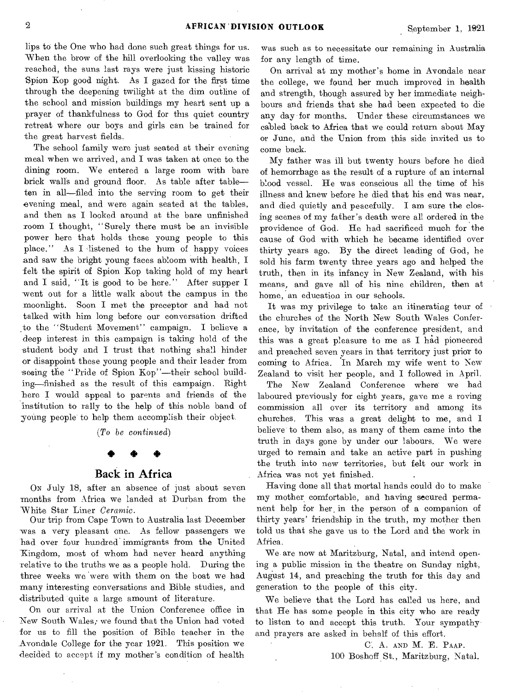lips to the One who had done such great things for us. When the brow of the hill overlooking the valley was reached, the suns last rays were just kissing historic Spion Kop good night. As I gazed for the first time through the deepening twilight at the dim outline of the school and mission buildings my heart sent up a prayer of thankfulness to God for this quiet country retreat where our boys and girls can be trained for the great harvest fields.

The school family were just seated at their evening meal when we arrived, and I was taken at once to, the dining room. We entered a large room with bare brick walls and ground floor. As table after table ten in all—filed into the serving room to get their evening meal, and were again seated at the tables, and then as I looked around at the bare unfinished room I thought, "Surely there must be an invisible power here that holds these young people to this place." As I listened to the hum of happy voices and saw the bright young faces abloom with health, I felt the spirit of Spion Kop taking hold of my heart and I said, "It is good to be here." After supper I went out for a little walk about the campus in the moonlight. Soon I met the preceptor and had not talked with him long before our conversation drifted .to the "Student Movement" campaign. I believe a deep interest in this campaign is taking hold of the student body and I trust that nothing shall hinder or disappoint these young people and their leader from seeing the "Pride of Spion Kop"—their school building—finished as the result of this campaign. Right here I would appeal to parents and friends of the institution to rally to the help of this noble band of young people to help them accomplish their object.

*(To be continued)* 

# \* • 4\*

## Back in Africa

ON July 18, after an absence of just about seven months from Africa we landed at Durban from the White Star Liner *Ceramic.* 

Our trip from Cape Town to Australia last December was a very pleasant one. As fellow passengers we had over four hundred immigrants from the United Kingdom, most of whom had never heard anything relative to the truths we as a people hold. During the three weeks we were with them on the boat we had many interesting conversations and Bible studies, and distributed quite a large amount of literature.

On our arrival at the Union Conference office in \_New South Wales; we found that the Union had voted for us to fill the position of Bible teacher in the Avondale College for the year 1921. This position we decided to accept if my mother's condition of health

was such as to necessitate our remaining in Australia for any length of time.

On arrival at my mother's home in Avondale near the college, we found her much improved in health and strength, though assured by her immediate neighbours and friends that she had been expected to die any day for months. Under these circumstances we cabled back to Africa that we could return about May or June, and the Union from this side invited us to come back.

My father was ill but twenty hours before he died of hemorrhage as the result of a rupture of an internal blood vessel. He was conscious all the time of his illness and knew before he died that his end was near, and died quietly and peacefully. I am sure the closing scenes of my father's death were all ordered in the providence of God. He had sacrificed much for the cause of God with which he became identified over thirty years ago. By the direct leading of God, he sold his farm twenty three years ago and helped the truth, then in its infancy in New Zealand, with his means, and gave all of his nine children, then at home, an education in our schools.

It was my privilege to take an itinerating tour of the churches of the North New South Wales Conference, by invitation of the conference president, and this was a great pleasure to me as I had pioneered and preached seven years in that territory just prior to coming to Africa. In March my wife went to New Zealand to visit her people, and I followed in April.

The New Zealand Conference where we had laboured previously for eight years, gave me a roving commission all over its territory and among its churches. This was a great delight to me, and I believe to them also, as many of them came into the truth in days gone by under our labours. We were urged to remain and take an active part in pushing the truth into new territories, but felt our work in Africa was not yet finished.

Having done all that mortal hands could do to make my mother comfortable, and having secured permanent help for her, in the person of a companion of thirty years' friendship in the truth, my mother then told us that she gave us to the Lord and the work in Africa.

We are now at Maritzburg, Natal, and intend opening a public mission in the theatre on Sunday night, August 14, and preaching the truth for this day and generation to the people of this city.

We believe that the Lord has called us here, and that He has some people in this city who are ready to listen to and accept this truth. Your sympathy and prayers are asked in behalf of this effort.

> C. A. AND M. E. PAAP. 100 Boshoff St., Maritzburg, Natal.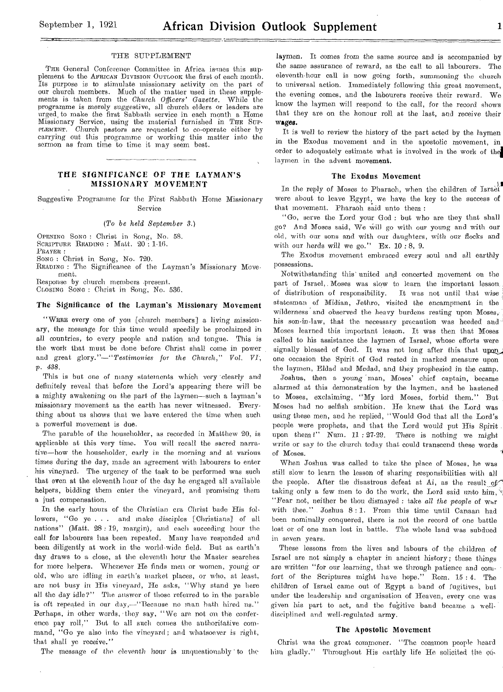THE General Conference Committee in Africa issues this supplement to the AFRICAN DIVISION OUTLOOK the first of each month. Its purpose is to stimulate missionary activity on the part of our church members. Much of the matter used in these supplements is taken from the *Church Officers' Gazette.* While the programme is merely suggestive, all church elders or leaders are urged, to make the first Sabbath service in each month a Home Missionary Service, using the material furnished in THE SUP-PLEMENT. Church pastors are requested to co-operate either by carrying out this programme or working this matter into the sermon as from time to time it may seem best.

### THE SIGNIFICANCE OF THE LAYMAN'S MISSIONARY MOVEMENT

Suggestive Programme for the First Sabbath Home Missionary Service

#### *(To be held September 3.)*

OPENING BONG : Christ in Song, No. 58. SCRIPTURE READING : Matt. 20 : 1-16. PRAYER :

SONG : Christ in Song, No. 720.

•

READING : The Significance of the Layman's Missionary Movement.

Response by church members .present. CLOSING BONG : Christ in Song, No. 536.

#### The Significance of the Layman's Missionary Movement

"WERE every one of you [church members] a living missionary, the message for this time would speedily be proclaimed in all countries, to every people and nation and tongue. This is the work that must be done before Christ shall come in power and great glory."-"Testimonies for the Church," Vol. VI; p. *438.* 

This is but one of many statements which very 'clearly and definitely reveal that before the Lord's *appearing* there will be a mighty awakening on the part of the laymen—such a layman's missionary movement as the earth has never witnessed. Everything about us shows that we have entered the time when such a powerful movement is due.

The parable of the householder, as recorded in Matthew 20, is applicable at this very time. You will recall the *sacred narrative—how* the householder, early in the morning and at various times during the day, made an agreement with labourers to enter his vineyard. The urgency of the task to be performed was such that even at the eleventh hour of the day he engaged all available helpers, bidding them enter the vineyard, and promising them a just compensation.

In the early hours of the Christian era Christ bade His followers, "Go ye . . . and make disciples [Christians] of all nations" (Matt. 28: 19, margin), and each succeding hour the call for labourers has been repeated. Many have responded and been diligently at work in the world-wide field. But as earth's day draws to a close, at the eleventh hour the Master searches for more helpers. Whenever He finds men or women, young or old, who are idling in earth's market *places,* or who, at least, are not busy in His *vineyard,* He asks, "Why stand ye here all the day idle?" The answer of those referred to in the parable is oft repeated in our day,—"Because no man hath hired us." Perhaps, in other words, they say, "We are not on the conference pay roll," But to all such comes the authoritative command, "Go ye also into the vineyard ; and whatsoever is right, that shall ye receive."

The message of the *eleventh* hour is unquestionably 'to the

laymen. It comes *from* the *same* source and is accompanied by the same assurance of reward, as the call to all labourers. The eleventh-hour call is now going forth, summoning the church to universal action. Immediately following this great movement, the evening comes, and the labourers receive their reward. We know the laymen will respond to the call, for the record shows that they are on the honour roll at the last, and receive their *wages.* 

It is well to review the history of the part acted by the laymen in the Exodus movement and in the apostolic movement, in order to adequately estimate what is involved in the work of the laymen in the advent movement.

#### The Exodus Movement

.3.1 In the reply of Moses to Pharaoh, when the children of Israel were about to leave Egypt, we have the key to the success of that movement. Pharaoh said unto them :

"Go, serve the Lord your God : but who are they that shall go? And Moses said, We Will go with our young and with our old, with our sons and with our daughters, with our flocks and with our herds will *we go."* Ex. 10 : 8, 9.

The Exodus movement embraced every soul and all earthly possessions.

Notwithstanding this' united and concerted movement on the part of Israel, Moses was slow to learn the important lesson of distribution of responsibility. It was not until that wise of distribution of responsibility. statesman of Midian, Jethro, visited the encampment in the wilderness and observed the heavy burdens resting upon Moses, his son-in-law, that the necessary precaution was heeded and Moses learned this important lesson. It was then that Moses called to his assistance the laymen of Israel, whose efforts were signally blessed of God. It was not long after this that upon one occasion the Spirit of God rested in marked measure upon the laymen, Eldad and Medad, and they prophesied in the camp.

Joshua, then a young man, Moses' chief captain, became alarmed at this demonstration by the laymen, and be hastened to Moses, exclaiming, "My lord Moses, forbid them." But Moses had no selfish ambition. He knew that the Lord was using these men, and he replied, "Would God that all the Lord's people were prophets, and that the Lord would put His Spirit upon them!" Num. 11:27-29. There is nothing we might write or say to the church today that could transcend these words of Moses.

When Joshua was called to take the place of Moses, he was still slow to learn the lesson of sharing responsibilities with all the people. After the disastrous defeat at Ai, as the result of taking only a few men to do the work, the Lord said *unto him*, "Fear not, neither be thou dismayed : take all the people of  $w_{\text{tr}}$ with thee." Joshua 8: 1. From this *time* until Canaan had been nominally conquered, there is not the record of one battle lost or of one man lost in battle. The whole land was subdued in seven years.

These lessons from the lives and labours of the children of Israel are not simply a chapter in ancient history; these things are written "for our learning, that we through patience and com*fort* of the Scriptures might have hope." Rom. 15 : 4. The children of Israel came out of Egypt a band of fugitives, but under the leadership and organisation of Heaven, every one was given his part to act, and the fugitive band became a welldisciplined and well-regulated army.

#### The Apostolic Movement

Christ was the great commoner. "The common people heard him gladly." Throughout His earthly life He solicited the co-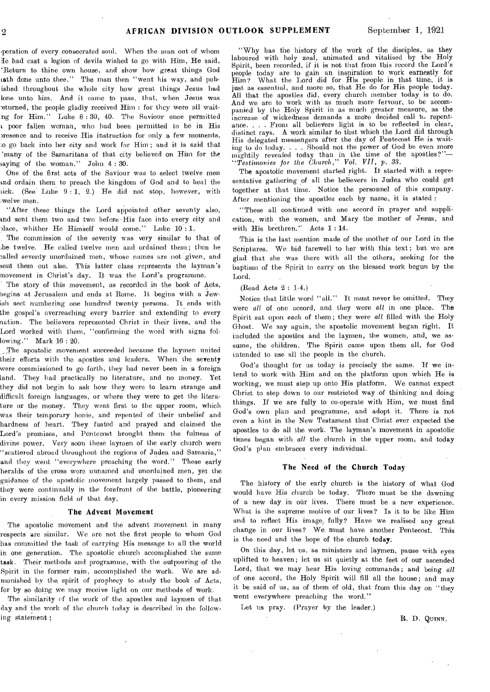peration of every consecrated soul. When the man out of whom le had cast a legion of devils wished to go with Him, He said, `Return to thine own house, and show how great things God ath done unto thee." The man then "went his way, and pubished throughout the whole city how great things Jesus bad lone unto him. And it came to pass, that, when Jesus was eturned, the people gladly received Him : for they were all waitng for Him." Luke 8 : 39, 40. The Saviour once permitted L poor fallen woman, who had been permitted to be in His presence and to receive His instruction for only a few moments, o,go back into her city and work for Him ; and it is said that `many of the Samaritans of that city believed on Him for the saying of the woman." John 4: 30.

One of the first acts of the Saviour was to select twelve men bird ordain them to preach the kingdom of God and to heal the sick. (See Luke 9 : 1, 2.) He did not stop, however, with iwelve men.

"After these things the Lord appointed other seventy also, and sent them two and two before His face into every city and  $i$ lace, whither He Himself would come." Lnke  $10:1$ .

The commission of the seventy was very similar to that of he twelve. He called twelve men and ordained them; then he 3alled seventy unordained men, whose names are not given, and sent them out also. This latter class represents the layman's movement in Christ's day. It was the Lord's programme.

The story of this movement, as recorded in the book of Acts, begins at Jerusalem and ends at Borne. It begins with a Jewish sect numbering one hundred twenty persons. It ends with the gospel's overreaching every barrier and extending to every nation. The believers represented Christ in their lives, and the Lord worked with them, "confirming the word with signs following." Mark 16 : 20.

The apostolic movement succeeded because the laymen united their efforts with the apostles and leaders. When the seventy were commissioned to go forth, they had never been in a foreign land. They had practically no literature, and no money. Yet they did not begin to ask how they were to learn strange and difficult foreign languages, or where they were to get the literature or the money. They went first to the upper room, which was their temporary honie, and repented of their unbelief and hardness of heart. They fasted and prayed and claimed the Lord's promises, and Pentecost brought them the fulness of divine power. Very soon these laymen of the early church were "scattered abroad throughout the regions of Judea and Samaria," and they went "everywhere preaching the word." These early heralds of the cross were unnamed and unordained men, yet the guidance of the apostolic movement largely passed to them, and they were continually in the forefront of the battle, pioneering in every mission field of that day.

#### The Advent Movement

The apostolic movement and the advent movement in many respects are similar. We are not the first people to whom God has committed the task of carrying His message to all the world in one generation. The apostolic church accomplished the same task. Their methods and programme, with the outpouring of the Spirit in the former rain, accomplished the work. We are admonished by the, spirit of prophecy to study the book of Acts, for by so doing we may receive light on our methods of work.

The similarity of the work of the apostles and laymen of that day and the work of the church today is described in the following statement ;

"Why has the history of the work of the disciples, as they laboured with holy zeal, animated and vitalised by the Holy Spirit, been recorded, if it is not that from this record the Lord's people today are to gain an inspiration to work earnestly for Him? What the Lord did for His people in that time, it is just as essential, and more so, that He do for His people today. All that the apostles did, every church member today is to do. And we are to work with as much more fervour, to be accompanied by the Holy Spirit in as much greater measure, as the increase of wickedness demands a more decided call to repentance. . . . From all believers light is to be reflected in clear, distinct rays. A work similar to that which the Lord did through His delegated messengers after the day of Pentecost He is waiting to do today. . . . Should not the power of God be even more mightily revealed today than in the time of the *apostles?"— "Testimovies* for the Church," Vol. VII, p. 33.

The apostolic movement started right. It started with a representative gathering of all the believers in Judea Who could get together at that time. Notice the personnel of this company. After mentioning the apostles each by name, it is stated :

"These all continued with one accord in prayer and supplication, with the women, and Mary the mother of Jesus, and with His brethren." Acts 1 : 14.

This is the last mention made of the mother of our Lord in the Scriptures. We bid farewell to her with this text; but we are glad that she was there with all the others, seeking for the baptism of the Spirit to carry on the blessed work begun by the Lord.

#### (Bead Acts 2 : 1-4.)

Notice that little word "all." It must never be omitted. They were all of one accord, and they were all in one place. The Spirit sat upon each of them ; they were all filled with the Holy Ghost. We say again, the apostolic movement began right. It included the apostles and the laymen, the women, and, we assume, the children. The Spirit came upon them all, for God intended to use all the people in the church.

God's thought for us today is precisely the same. If we intend to work with Him and on the platform upon which He is working, we must step up onto His platform. We cannot expeet Christ to step down to our restricted way of thinking and doing things. If we are fully to co-operate with Him, we must find God's own plan and programme, and adopt it. There is not even a hint in the New Testament that Christ ever expected the apostles to do all the work. The layman's movement in apostolic times began with *all* the church in the upper room, and today God's plan embraces every individual.

#### The Need of the Church Today

The history of the early church is the history of what God would have His church be today. There must be the dawning of a new day in our lives. There must be a new experience. What is the supreme motive of our lives? Is it to be like Him and to reflect His image, fully? Have we realised any great change in our lives? We must have another Pentecost. This is the need and the hope of the church today:

On this day, let us, as ministers and laymen, pause with eyes uplifted to heaven; let us sit quietly at the feet of our ascended Lord, that we may hear His loving commands; and being all of one accord, the Holy Spirit will fill all the house; and may it be said of us, as of them of old, that from this day on "they went everywhere preaching the word."

Let us pray. (Prayer by the leader.)

B. D. QUINN,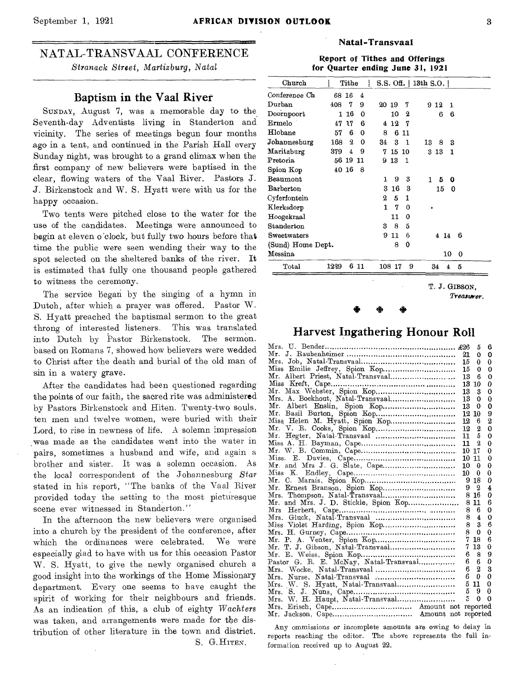## NATAL-TRANSVAAL CONFERENCE *Stranack Street, Martizburg,* Natal

## Baptism in the Vaal River

SUNDAY, August 7, was a memorable day to the, Seventh-day Adventists living in Standerton and vicinity. The series of meetings begun four months ago in a tent, and continued in the Parish Hall every Sunday night, was brought to a grand climax when the first company of new believers were baptised in the clear, flowing waters of the- Vaal River. Pastors J. J. Birkenstock and W. S. Hyatt were with us for the happy occasion.

Two tents were pitched close to the water for the use of the candidates. Meetings were announced to begin at eleven o'clock, but fully two hours before that time the public were seen wending their way to the spot selected on the sheltered banks of the river. **It**  is estimated that fully one thousand people gathered to witness the ceremony.

The service began by the singing of a hymn in Dutch, after which a prayer was offered. Pastor W. S. Hyatt preached the baptismal sermon to the great throng of interested listeners. This was translated into Dutch by Pastor Birkenstock. The sermon. based on Romans 7, showed how believers were wedded to Christ after the death and burial of the old man of sin in a watery grave.

After the candidates had been questioned regarding the points of our faith, the sacred rite was administered by Pastors Birkenstock and Hiten. Twenty-two souls, ten men and twelve women, were buried with their Lord, to rise in newness of life. A solemn impression was made as the candidates went into the water in pairs, sometimes a husband and wife, and again a brother and sister. It was a solemn occasion. As the local correspondent of the Johannesburg *Star*  stated in his report, "The banks of the Vaal River provided today the setting to the most picturesque scene ever witnessed in Standerton."

In the afternoon the new believers were organised into a church by the president of the conference, after which the ordinances were celebrated. We were especially glad to have with us for this occasion Pastor W. S. Hyatt, to give the newly organised church a good insight into the workings of the Home Missionary department. Every one seems to have caught the spirit of working for their neighbours and friends. As an indication of this, a club of eighty *Wachters*  was taken, and arrangements were made for the distribution of other literature in the town and district. S. G.HITEN.

### **Natal-Transvaal**

Report of Tithes and Offerings for Quarter ending June 31, 1921

| Church            |       | Tithe |     |    |        |             | $S.S.$ Off.   13th $S.O.$ |    |         |  |
|-------------------|-------|-------|-----|----|--------|-------------|---------------------------|----|---------|--|
| Conference Ch     | 68 16 |       | 4   |    |        |             |                           |    |         |  |
| $_{\rm Durban}$   | 408   | 7     | 9   |    | 20 19  | 7           | 9 1 2                     |    | 1       |  |
| $Door$ npoort     | 1     | 16    | Ω   |    | 10     | 2           |                           | 6  | 6       |  |
| $\rm{Ermelo}$ .   | 47    | 17    | 6   | 4  | 12     | 7           |                           |    |         |  |
| ${\rm Hlobane}$   | 57    | 6     | 0   | 8  | 6      | -11         |                           |    |         |  |
| Johannesburg      | 168   | 2     | 0   | 34 | 3      | 1           | 13                        | 8  | 3       |  |
| Maritzburg        | 379   | 4     | 9   | 7  | 15     | -10         | 313                       |    | 1       |  |
| $\rm Pretoria$    | 56 19 |       | -11 |    | 913    | -1          |                           |    |         |  |
| Spion Kop         | 40 16 |       | 8   |    |        |             |                           |    |         |  |
| $\rm{Beaumont}$   |       |       |     | 1  | 9      | 3           | 1                         | 5  | ۵       |  |
| Barberton         |       |       |     | 3  | 16     | 3           |                           | 15 | 0       |  |
| $C$ yferfontein   |       |       |     | 2  | 5      | 1           |                           |    |         |  |
| Klerksdorp        |       |       |     | 1  | 7      | $\mathbf 0$ |                           |    |         |  |
| Hoogekraal        |       |       |     |    | 11     | 0           |                           |    |         |  |
| Standerton        |       |       |     | 3  | 8      | 5           |                           |    |         |  |
| Sweetwaters       |       |       |     | 9  | 11     | 6           | 4                         |    | 6<br>14 |  |
| (Sund) Home Dept. |       |       |     |    | 8      | 0           |                           |    |         |  |
| Messina           |       |       |     |    |        |             |                           |    | 10<br>0 |  |
| $_{\rm Total}$    | 1229  |       | 611 |    | 108 17 | 9           | 34                        |    | 5<br>4  |  |

T. J. GIBSON,

*Trea,starer.* 

## Harvest Ingathering Honour Roll

|                                        |    | 5              | 6        |
|----------------------------------------|----|----------------|----------|
|                                        | 21 | 0              | 0        |
|                                        | 15 | 0              | 0        |
| Miss Emilie Jeffrey, Spion Kop         | 15 | 0              | 0        |
| Mr. Albert Priest, Natal-Transvaal     | 13 | В              | 0        |
|                                        | 13 | 10             | 0        |
| Mr. Max Webster, Spion Kop             | 13 | 3              | 0        |
| Mrs. A. Boekhout, Natal-Transvaal      | 13 | 0              | 0        |
| Mr.                                    | 13 | 0              | 0        |
|                                        | 12 | 10             | 9        |
|                                        | 12 | 6              | 2        |
|                                        | 12 | 2              | 0        |
| Mr.                                    | 11 | 5              | 0        |
|                                        | 11 | 2              | 0        |
|                                        | 10 | 17             | 0        |
| Miss.<br>Е.                            | 10 | 11             | 0        |
|                                        | 10 | 0              | 0        |
| Κ.<br>Miss                             | 10 | 0              | 0        |
| Mr.                                    | 9  | 18             | 0        |
| Mr.                                    | 9  | 2              | 4        |
|                                        | 8  | 16             | 0        |
| Mr. and Mrs. J. D. Stickle, Spion Kop  | 8  | 11             | 6        |
|                                        | 8  | 6              | 0        |
|                                        | 8  | 4              | 0        |
|                                        | 8  | 3              | 6        |
|                                        | 8  | $\Omega$       | 0        |
| Mr. P.                                 | 7  | 18             | 6        |
| Mr.                                    | 7  | 13             | 0        |
| Mr.                                    | 6  | 8              | 9        |
| Pastor G. R. E. McNay, Natal-Transvaal | 6  | 6              | 0        |
|                                        | 6  | $\overline{2}$ | 3        |
|                                        | 6  | 0              | 0        |
| Mrs. W. S. Hyatt, Natal-Transvaal      | 5  | 11             | 0        |
| Mrs. S.                                | 5  | 9              | 0        |
|                                        | 5  | $\Omega$       | $\Omega$ |
|                                        |    | reported       |          |
|                                        |    |                |          |

Any ommissions or incomplete amounts are owing to delay in reports reaching the editor. The above represents the full information received up to August 22.